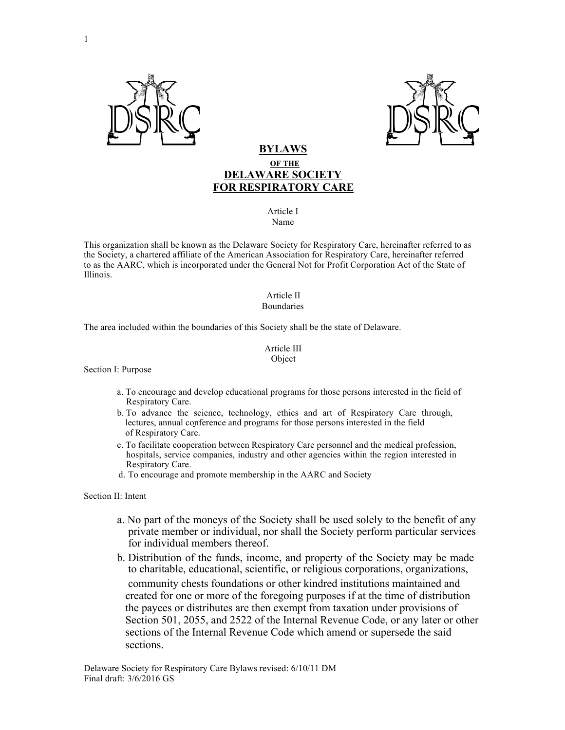



## **BYLAWS OF THE DELAWARE SOCIETY FOR RESPIRATORY CARE**

#### Article I Name

This organization shall be known as the Delaware Society for Respiratory Care, hereinafter referred to as the Society, a chartered affiliate of the American Association for Respiratory Care, hereinafter referred to as the AARC, which is incorporated under the General Not for Profit Corporation Act of the State of Illinois.

#### Article II Boundaries

The area included within the boundaries of this Society shall be the state of Delaware.

#### Article III Object

Section I: Purpose

- a. To encourage and develop educational programs for those persons interested in the field of Respiratory Care.
- b. To advance the science, technology, ethics and art of Respiratory Care through, lectures, annual conference and programs for those persons interested in the field of Respiratory Care.
- c. To facilitate cooperation between Respiratory Care personnel and the medical profession, hospitals, service companies, industry and other agencies within the region interested in Respiratory Care.
- d. To encourage and promote membership in the AARC and Society

Section II: Intent

- a. No part of the moneys of the Society shall be used solely to the benefit of any private member or individual, nor shall the Society perform particular services for individual members thereof.
- b. Distribution of the funds, income, and property of the Society may be made to charitable, educational, scientific, or religious corporations, organizations, community chests foundations or other kindred institutions maintained and created for one or more of the foregoing purposes if at the time of distribution the payees or distributes are then exempt from taxation under provisions of Section 501, 2055, and 2522 of the Internal Revenue Code, or any later or other sections of the Internal Revenue Code which amend or supersede the said sections.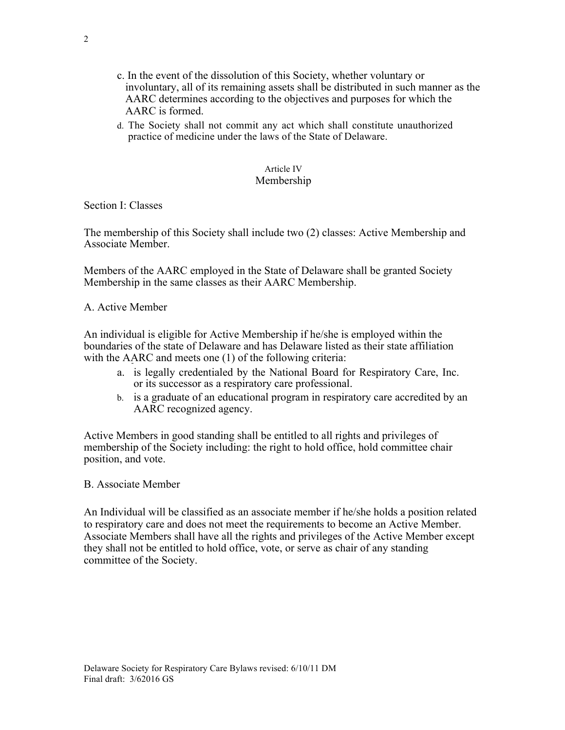- c. In the event of the dissolution of this Society, whether voluntary or involuntary, all of its remaining assets shall be distributed in such manner as the AARC determines according to the objectives and purposes for which the AARC is formed.
- d. The Society shall not commit any act which shall constitute unauthorized practice of medicine under the laws of the State of Delaware.

#### Article IV Membership

Section I: Classes

The membership of this Society shall include two (2) classes: Active Membership and Associate Member.

Members of the AARC employed in the State of Delaware shall be granted Society Membership in the same classes as their AARC Membership.

## A. Active Member

An individual is eligible for Active Membership if he/she is employed within the boundaries of the state of Delaware and has Delaware listed as their state affiliation with the AARC and meets one (1) of the following criteria:

- a. is legally credentialed by the National Board for Respiratory Care, Inc. or its successor as a respiratory care professional.
- b. is a graduate of an educational program in respiratory care accredited by an AARC recognized agency.

Active Members in good standing shall be entitled to all rights and privileges of membership of the Society including: the right to hold office, hold committee chair position, and vote.

#### B. Associate Member

An Individual will be classified as an associate member if he/she holds a position related to respiratory care and does not meet the requirements to become an Active Member. Associate Members shall have all the rights and privileges of the Active Member except they shall not be entitled to hold office, vote, or serve as chair of any standing committee of the Society.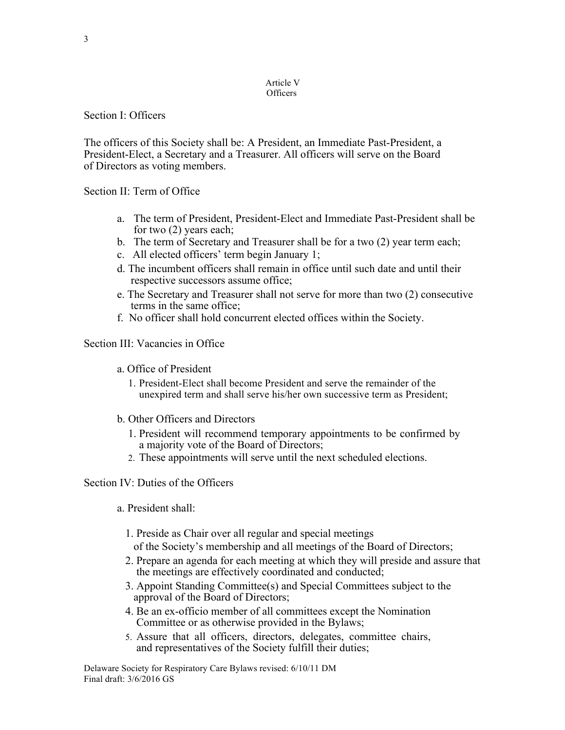#### Article V **Officers**

## Section I: Officers

The officers of this Society shall be: A President, an Immediate Past-President, a President-Elect, a Secretary and a Treasurer. All officers will serve on the Board of Directors as voting members.

Section II: Term of Office

- a. The term of President, President-Elect and Immediate Past-President shall be for two (2) years each;
- b. The term of Secretary and Treasurer shall be for a two (2) year term each;
- c. All elected officers' term begin January 1;
- d. The incumbent officers shall remain in office until such date and until their respective successors assume office;
- e. The Secretary and Treasurer shall not serve for more than two (2) consecutive terms in the same office;
- f. No officer shall hold concurrent elected offices within the Society.

Section III: Vacancies in Office

- a. Office of President
	- 1. President-Elect shall become President and serve the remainder of the unexpired term and shall serve his/her own successive term as President;
- b. Other Officers and Directors
	- 1. President will recommend temporary appointments to be confirmed by a majority vote of the Board of Directors;
	- 2. These appointments will serve until the next scheduled elections.

# Section IV: Duties of the Officers

- a. President shall:
	- 1. Preside as Chair over all regular and special meetings
	- of the Society's membership and all meetings of the Board of Directors;
	- 2. Prepare an agenda for each meeting at which they will preside and assure that the meetings are effectively coordinated and conducted;
	- 3. Appoint Standing Committee(s) and Special Committees subject to the approval of the Board of Directors;
	- 4. Be an ex-officio member of all committees except the Nomination Committee or as otherwise provided in the Bylaws;
	- 5. Assure that all officers, directors, delegates, committee chairs, and representatives of the Society fulfill their duties;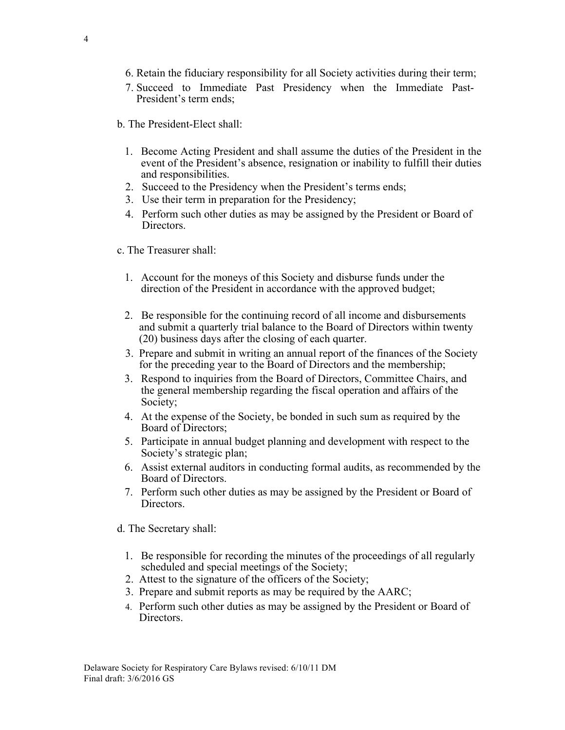- 6. Retain the fiduciary responsibility for all Society activities during their term;
- 7. Succeed to Immediate Past Presidency when the Immediate Past-President's term ends;
- b. The President-Elect shall:
	- 1. Become Acting President and shall assume the duties of the President in the event of the President's absence, resignation or inability to fulfill their duties and responsibilities.
	- 2. Succeed to the Presidency when the President's terms ends;
	- 3. Use their term in preparation for the Presidency;
	- 4. Perform such other duties as may be assigned by the President or Board of **Directors**
- c. The Treasurer shall:
	- 1. Account for the moneys of this Society and disburse funds under the direction of the President in accordance with the approved budget;
	- 2. Be responsible for the continuing record of all income and disbursements and submit a quarterly trial balance to the Board of Directors within twenty (20) business days after the closing of each quarter.
	- 3. Prepare and submit in writing an annual report of the finances of the Society for the preceding year to the Board of Directors and the membership;
	- 3. Respond to inquiries from the Board of Directors, Committee Chairs, and the general membership regarding the fiscal operation and affairs of the Society;
	- 4. At the expense of the Society, be bonded in such sum as required by the Board of Directors;
	- 5. Participate in annual budget planning and development with respect to the Society's strategic plan;
	- 6. Assist external auditors in conducting formal audits, as recommended by the Board of Directors.
	- 7. Perform such other duties as may be assigned by the President or Board of Directors.
- d. The Secretary shall:
	- 1. Be responsible for recording the minutes of the proceedings of all regularly scheduled and special meetings of the Society;
	- 2. Attest to the signature of the officers of the Society;
	- 3. Prepare and submit reports as may be required by the AARC;
	- 4. Perform such other duties as may be assigned by the President or Board of **Directors**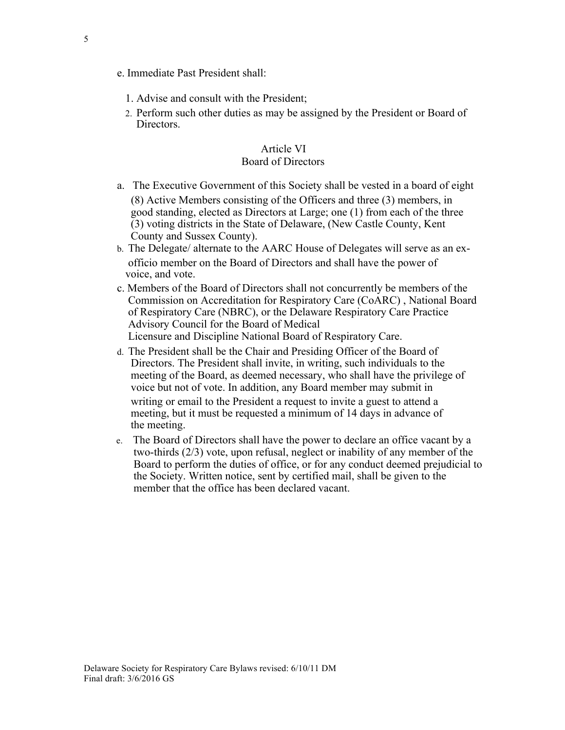- e. Immediate Past President shall:
	- 1. Advise and consult with the President;
	- 2. Perform such other duties as may be assigned by the President or Board of **Directors**

## Article VI Board of Directors

- a. The Executive Government of this Society shall be vested in a board of eight (8) Active Members consisting of the Officers and three (3) members, in good standing, elected as Directors at Large; one (1) from each of the three (3) voting districts in the State of Delaware, (New Castle County, Kent County and Sussex County).
- b. The Delegate/ alternate to the AARC House of Delegates will serve as an exofficio member on the Board of Directors and shall have the power of voice, and vote.
- c. Members of the Board of Directors shall not concurrently be members of the Commission on Accreditation for Respiratory Care (CoARC) , National Board of Respiratory Care (NBRC), or the Delaware Respiratory Care Practice Advisory Council for the Board of Medical Licensure and Discipline National Board of Respiratory Care.
- d. The President shall be the Chair and Presiding Officer of the Board of Directors. The President shall invite, in writing, such individuals to the meeting of the Board, as deemed necessary, who shall have the privilege of voice but not of vote. In addition, any Board member may submit in writing or email to the President a request to invite a guest to attend a meeting, but it must be requested a minimum of 14 days in advance of the meeting.
- e. The Board of Directors shall have the power to declare an office vacant by a two-thirds (2/3) vote, upon refusal, neglect or inability of any member of the Board to perform the duties of office, or for any conduct deemed prejudicial to the Society. Written notice, sent by certified mail, shall be given to the member that the office has been declared vacant.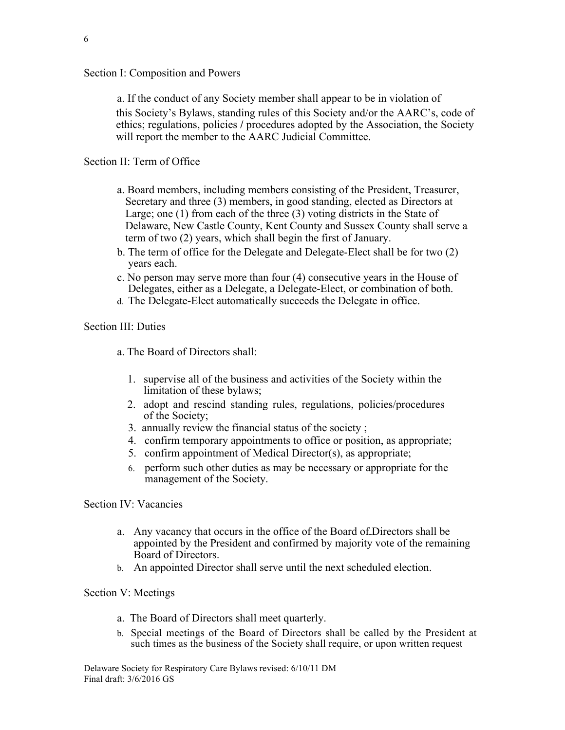## Section I: Composition and Powers

a. If the conduct of any Society member shall appear to be in violation of this Society's Bylaws, standing rules of this Society and/or the AARC's, code of ethics; regulations, policies **/** procedures adopted by the Association, the Society will report the member to the AARC Judicial Committee.

## Section II: Term of Office

- a. Board members, including members consisting of the President, Treasurer, Secretary and three (3) members, in good standing, elected as Directors at Large; one (1) from each of the three (3) voting districts in the State of Delaware, New Castle County, Kent County and Sussex County shall serve a term of two (2) years, which shall begin the first of January.
- b. The term of office for the Delegate and Delegate-Elect shall be for two (2) years each.
- c. No person may serve more than four (4) consecutive years in the House of Delegates, either as a Delegate, a Delegate-Elect, or combination of both.
- d. The Delegate-Elect automatically succeeds the Delegate in office.

# Section III: Duties

- a. The Board of Directors shall:
	- 1. supervise all of the business and activities of the Society within the limitation of these bylaws;
	- 2. adopt and rescind standing rules, regulations, policies/procedures of the Society;
	- 3. annually review the financial status of the society ;
	- 4. confirm temporary appointments to office or position, as appropriate;
	- 5. confirm appointment of Medical Director(s), as appropriate;
	- 6. perform such other duties as may be necessary or appropriate for the management of the Society.

## Section IV: Vacancies

- a. Any vacancy that occurs in the office of the Board of Directors shall be appointed by the President and confirmed by majority vote of the remaining Board of Directors.
- b. An appointed Director shall serve until the next scheduled election.

## Section V: Meetings

- a. The Board of Directors shall meet quarterly.
- b. Special meetings of the Board of Directors shall be called by the President at such times as the business of the Society shall require, or upon written request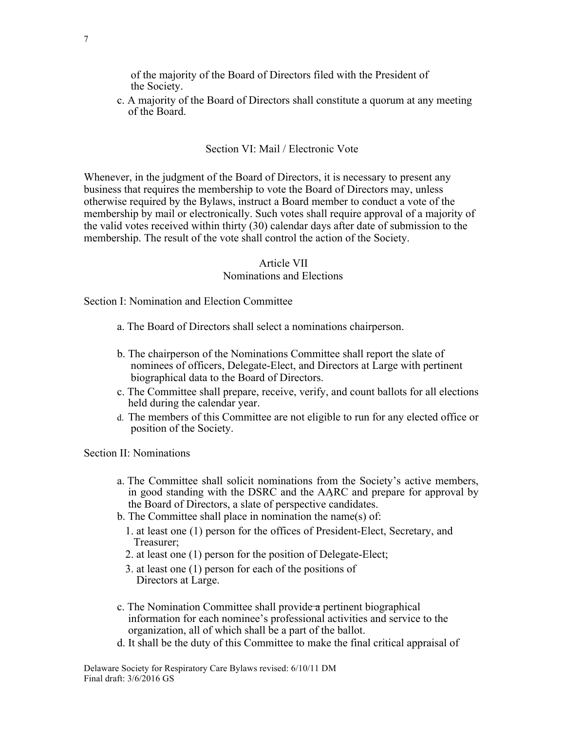of the majority of the Board of Directors filed with the President of the Society.

c. A majority of the Board of Directors shall constitute a quorum at any meeting of the Board.

#### Section VI: Mail / Electronic Vote

Whenever, in the judgment of the Board of Directors, it is necessary to present any business that requires the membership to vote the Board of Directors may, unless otherwise required by the Bylaws, instruct a Board member to conduct a vote of the membership by mail or electronically. Such votes shall require approval of a majority of the valid votes received within thirty (30) calendar days after date of submission to the membership. The result of the vote shall control the action of the Society.

#### Article VII

#### Nominations and Elections

Section I: Nomination and Election Committee

- a. The Board of Directors shall select a nominations chairperson.
- b. The chairperson of the Nominations Committee shall report the slate of nominees of officers, Delegate-Elect, and Directors at Large with pertinent biographical data to the Board of Directors.
- c. The Committee shall prepare, receive, verify, and count ballots for all elections held during the calendar year.
- d. The members of this Committee are not eligible to run for any elected office or position of the Society.

Section II: Nominations

- a. The Committee shall solicit nominations from the Society's active members, in good standing with the DSRC and the AARC and prepare for approval by the Board of Directors, a slate of perspective candidates.
- b. The Committee shall place in nomination the name(s) of:
	- 1. at least one (1) person for the offices of President-Elect, Secretary, and Treasurer;
	- 2. at least one (1) person for the position of Delegate-Elect;
	- 3. at least one (1) person for each of the positions of Directors at Large.
- c. The Nomination Committee shall provide a pertinent biographical information for each nominee's professional activities and service to the organization, all of which shall be a part of the ballot.
- d. It shall be the duty of this Committee to make the final critical appraisal of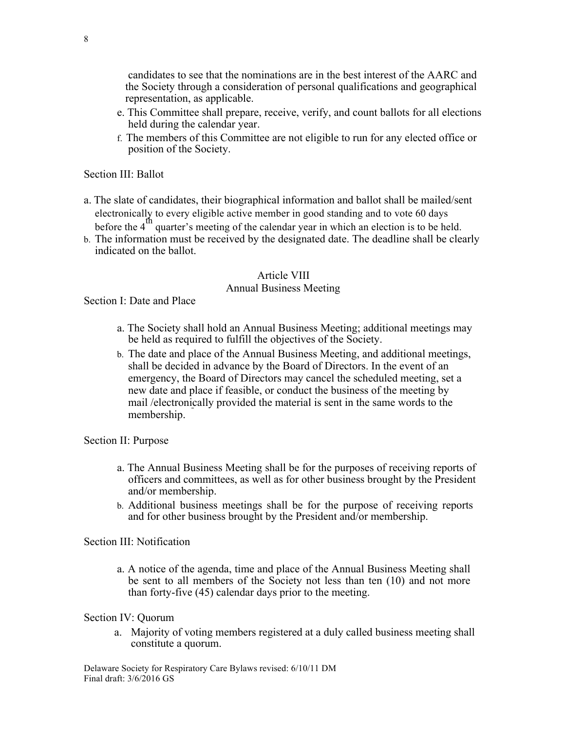candidates to see that the nominations are in the best interest of the AARC and the Society through a consideration of personal qualifications and geographical representation, as applicable.

- e. This Committee shall prepare, receive, verify, and count ballots for all elections held during the calendar year.
- f. The members of this Committee are not eligible to run for any elected office or position of the Society.

#### Section III: Ballot

- a. The slate of candidates, their biographical information and ballot shall be mailed/sent electronically to every eligible active member in good standing and to vote 60 days before the  $4<sup>th</sup>$  quarter's meeting of the calendar year in which an election is to be held.
- b. The information must be received by the designated date. The deadline shall be clearly indicated on the ballot.

#### Article VIII

## Annual Business Meeting

Section I: Date and Place

- a. The Society shall hold an Annual Business Meeting; additional meetings may be held as required to fulfill the objectives of the Society.
- b. The date and place of the Annual Business Meeting, and additional meetings, shall be decided in advance by the Board of Directors. In the event of an emergency, the Board of Directors may cancel the scheduled meeting, set a new date and place if feasible, or conduct the business of the meeting by mail /electronically provided the material is sent in the same words to the membership.

#### Section II: Purpose

- a. The Annual Business Meeting shall be for the purposes of receiving reports of officers and committees, as well as for other business brought by the President and/or membership.
- b. Additional business meetings shall be for the purpose of receiving reports and for other business brought by the President and/or membership.

#### Section III: Notification

a. A notice of the agenda, time and place of the Annual Business Meeting shall be sent to all members of the Society not less than ten (10) and not more than forty-five (45) calendar days prior to the meeting.

#### Section IV: Quorum

a. Majority of voting members registered at a duly called business meeting shall constitute a quorum.

Delaware Society for Respiratory Care Bylaws revised: 6/10/11 DM Final draft: 3/6/2016 GS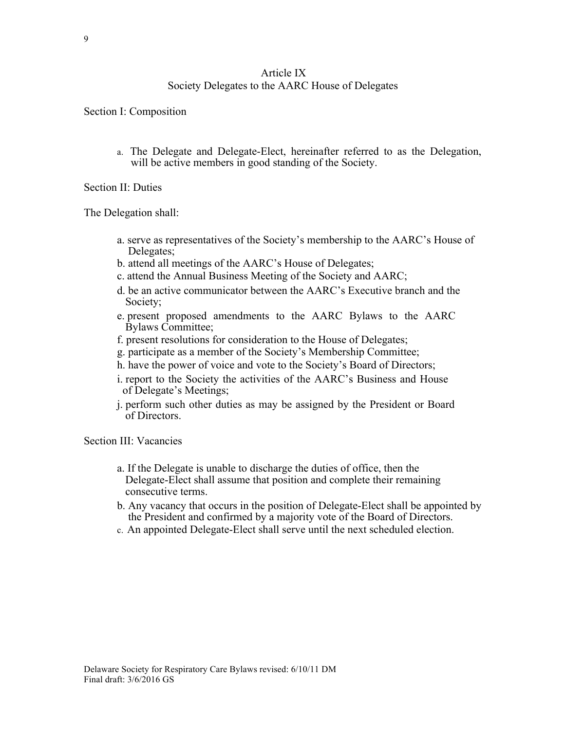## Article IX Society Delegates to the AARC House of Delegates

Section I: Composition

a. The Delegate and Delegate-Elect, hereinafter referred to as the Delegation, will be active members in good standing of the Society.

Section II: Duties

The Delegation shall:

- a. serve as representatives of the Society's membership to the AARC's House of Delegates;
- b. attend all meetings of the AARC's House of Delegates;
- c. attend the Annual Business Meeting of the Society and AARC;
- d. be an active communicator between the AARC's Executive branch and the Society;
- e. present proposed amendments to the AARC Bylaws to the AARC Bylaws Committee;
- f. present resolutions for consideration to the House of Delegates;
- g. participate as a member of the Society's Membership Committee;
- h. have the power of voice and vote to the Society's Board of Directors;
- i. report to the Society the activities of the AARC's Business and House of Delegate's Meetings;
- j. perform such other duties as may be assigned by the President or Board of Directors.

Section III: Vacancies

- a. If the Delegate is unable to discharge the duties of office, then the Delegate-Elect shall assume that position and complete their remaining consecutive terms.
- b. Any vacancy that occurs in the position of Delegate-Elect shall be appointed by the President and confirmed by a majority vote of the Board of Directors.
- c. An appointed Delegate-Elect shall serve until the next scheduled election.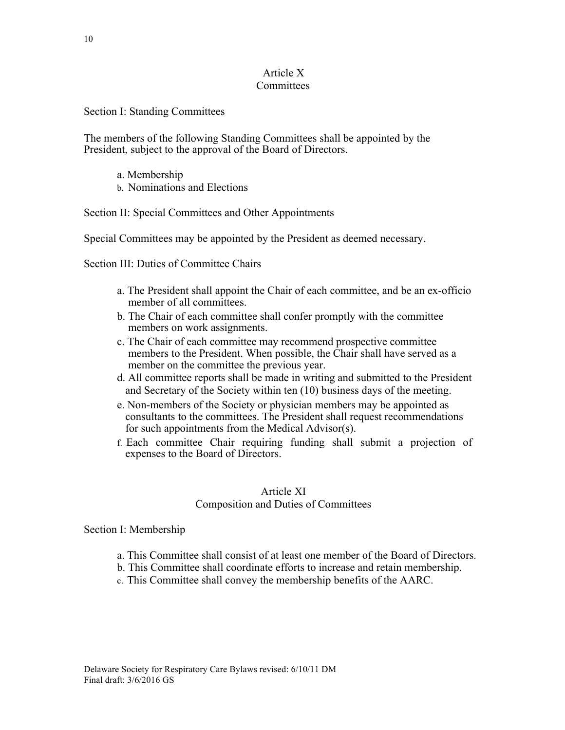## Article X **Committees**

## Section I: Standing Committees

The members of the following Standing Committees shall be appointed by the President, subject to the approval of the Board of Directors.

- a. Membership
- b. Nominations and Elections

## Section II: Special Committees and Other Appointments

Special Committees may be appointed by the President as deemed necessary.

Section III: Duties of Committee Chairs

- a. The President shall appoint the Chair of each committee, and be an ex-officio member of all committees.
- b. The Chair of each committee shall confer promptly with the committee members on work assignments.
- c. The Chair of each committee may recommend prospective committee members to the President. When possible, the Chair shall have served as a member on the committee the previous year.
- d. All committee reports shall be made in writing and submitted to the President and Secretary of the Society within ten (10) business days of the meeting.
- e. Non-members of the Society or physician members may be appointed as consultants to the committees. The President shall request recommendations for such appointments from the Medical Advisor(s).
- f. Each committee Chair requiring funding shall submit a projection of expenses to the Board of Directors.

# Article XI Composition and Duties of Committees

#### Section I: Membership

- a. This Committee shall consist of at least one member of the Board of Directors.
- b. This Committee shall coordinate efforts to increase and retain membership.
- c. This Committee shall convey the membership benefits of the AARC.